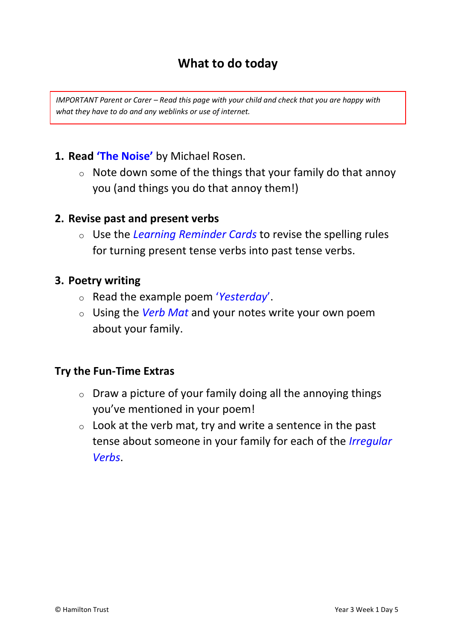## **What to do today**

*IMPORTANT Parent or Carer – Read this page with your child and check that you are happy with what they have to do and any weblinks or use of internet.* 

- **1. Read 'The Noise'** by Michael Rosen.
	- $\circ$  Note down some of the things that your family do that annoy you (and things you do that annoy them!)

#### **2. Revise past and present verbs**

o Use the *Learning Reminder Cards* to revise the spelling rules for turning present tense verbs into past tense verbs.

#### **3. Poetry writing**

- o Read the example poem '*Yesterday*'.
- o Using the *Verb Mat* and your notes write your own poem about your family.

#### **Try the Fun-Time Extras**

- $\circ$  Draw a picture of your family doing all the annoying things you've mentioned in your poem!
- $\circ$  Look at the verb mat, try and write a sentence in the past tense about someone in your family for each of the *Irregular Verbs*.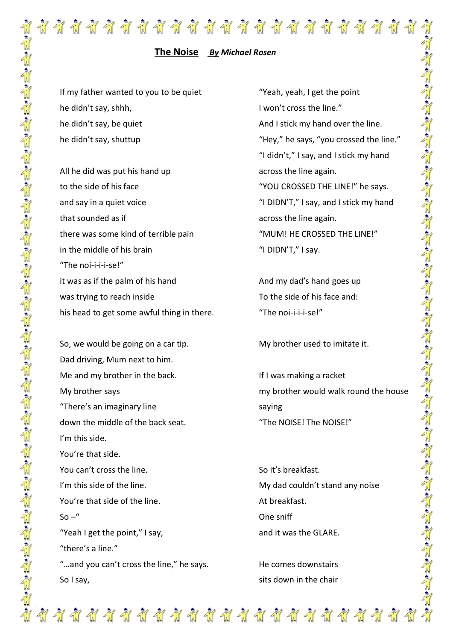#### **The Noise** *By Michael Rosen*

If my father wanted to you to be quiet he didn't say, shhh, he didn't say, be quiet he didn't say, shuttup

All he did was put his hand up to the side of his face and say in a quiet voice that sounded as if there was some kind of terrible pain in the middle of his brain "The noi-i-i-i-se!" it was as if the palm of his hand was trying to reach inside his head to get some awful thing in there.

So, we would be going on a car tip. Dad driving, Mum next to him. Me and my brother in the back. My brother says "There's an imaginary line down the middle of the back seat. I'm this side. You're that side. You can't cross the line. I'm this side of the line. You're that side of the line.  $So -''$ "Yeah I get the point," I say, "there's a line." "…and you can't cross the line," he says. So I say,

"Yeah, yeah, I get the point I won't cross the line." And I stick my hand over the line. "Hey," he says, "you crossed the line." "I didn't," I say, and I stick my hand across the line again. "YOU CROSSED THE LINE!" he says. "I DIDN'T," I say, and I stick my hand across the line again. "MUM! HE CROSSED THE LINE!" "I DIDN'T," I say.

And my dad's hand goes up To the side of his face and: "The noi-i-i-i-se!"

My brother used to imitate it.

If I was making a racket my brother would walk round the house saying "The NOISE! The NOISE!"

o. A side is a international contract of the international contract of the international contract of the intern

So it's breakfast. My dad couldn't stand any noise At breakfast. One sniff and it was the GLARE.

He comes downstairs sits down in the chair

Out of the state of the state of the state of the state of the state of the state of the state of the state of the state of the state of the state of the state of the state of the state of the state of the state of the sta

**ENDERORM**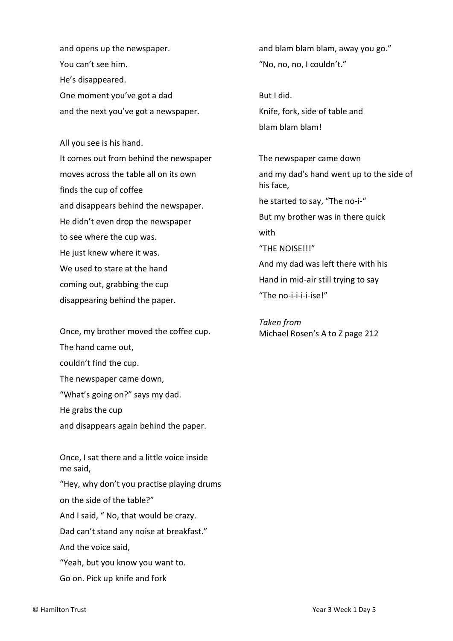and opens up the newspaper. You can't see him. He's disappeared. One moment you've got a dad and the next you've got a newspaper.

All you see is his hand. It comes out from behind the newspaper moves across the table all on its own finds the cup of coffee and disappears behind the newspaper. He didn't even drop the newspaper to see where the cup was. He just knew where it was. We used to stare at the hand coming out, grabbing the cup disappearing behind the paper.

Once, my brother moved the coffee cup. The hand came out, couldn't find the cup. The newspaper came down, "What's going on?" says my dad. He grabs the cup and disappears again behind the paper.

Once, I sat there and a little voice inside me said, "Hey, why don't you practise playing drums on the side of the table?" And I said, " No, that would be crazy. Dad can't stand any noise at breakfast." And the voice said, "Yeah, but you know you want to. Go on. Pick up knife and fork

and blam blam blam, away you go." "No, no, no, I couldn't."

But I did. Knife, fork, side of table and blam blam blam!

The newspaper came down and my dad's hand went up to the side of his face, he started to say, "The no-i-" But my brother was in there quick with "THE NOISE!!!" And my dad was left there with his Hand in mid-air still trying to say "The no-i-i-i-i-ise!"

*Taken from*  Michael Rosen's A to Z page 212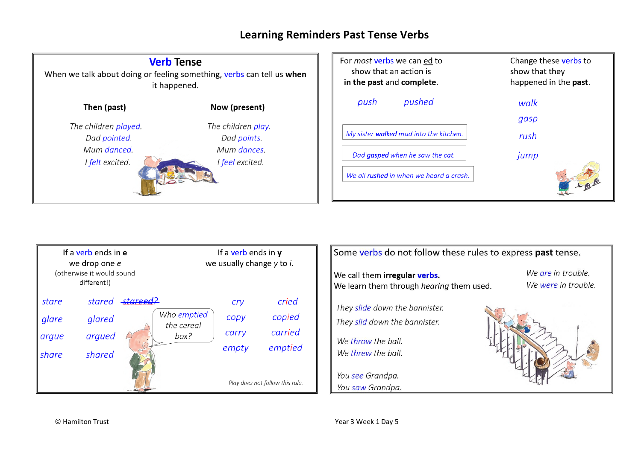#### **Learning Reminders Past Tense Verbs**







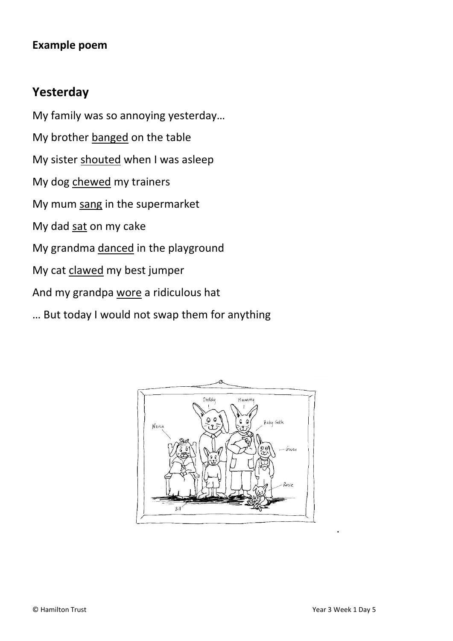### **Example poem**

### **Yesterday**

- My family was so annoying yesterday… My brother banged on the table My sister shouted when I was asleep My dog chewed my trainers My mum sang in the supermarket My dad sat on my cake My grandma danced in the playground My cat clawed my best jumper And my grandpa wore a ridiculous hat
- … But today I would not swap them for anything

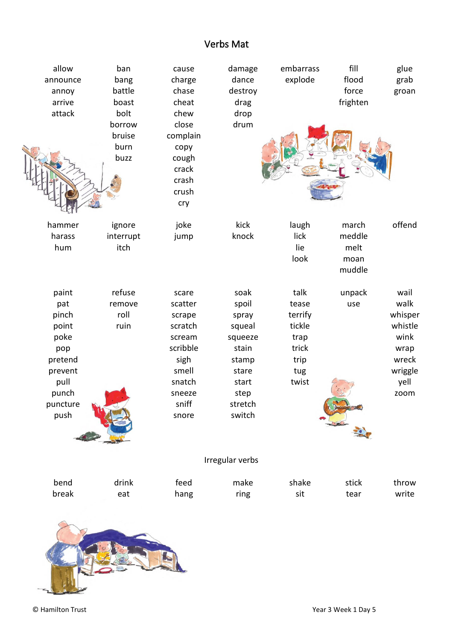#### Verbs Mat